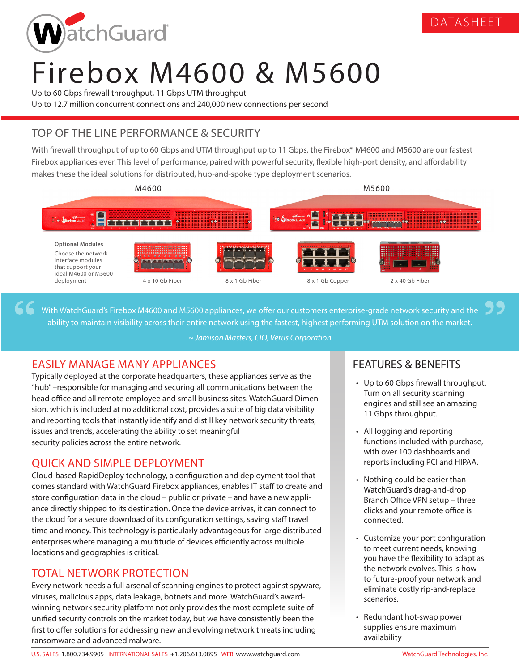

# Firebox M4600 & M5600

Up to 60 Gbps firewall throughput, 11 Gbps UTM throughput Up to 12.7 million concurrent connections and 240,000 new connections per second

# TOP OF THE LINE PERFORMANCE & SECURITY

With firewall throughput of up to 60 Gbps and UTM throughput up to 11 Gbps, the Firebox® M4600 and M5600 are our fastest Firebox appliances ever. This level of performance, paired with powerful security, flexible high-port density, and affordability makes these the ideal solutions for distributed, hub-and-spoke type deployment scenarios.



With WatchGuard's Firebox M4600 and M5600 appliances, we offer our customers enterprise-grade network security and the ability to maintain visibility across their entire network using the fastest, highest performing UTM solution on the market.

*~ Jamison Masters, CIO, Verus Corporation*

## EASILY MANAGE MANY APPLIANCES

Typically deployed at the corporate headquarters, these appliances serve as the "hub" –responsible for managing and securing all communications between the head office and all remote employee and small business sites. WatchGuard Dimension, which is included at no additional cost, provides a suite of big data visibility and reporting tools that instantly identify and distill key network security threats, issues and trends, accelerating the ability to set meaningful security policies across the entire network.

## QUICK AND SIMPLE DEPLOYMENT

Cloud-based RapidDeploy technology, a configuration and deployment tool that comes standard with WatchGuard Firebox appliances, enables IT staff to create and store configuration data in the cloud – public or private – and have a new appliance directly shipped to its destination. Once the device arrives, it can connect to the cloud for a secure download of its configuration settings, saving staff travel time and money. This technology is particularly advantageous for large distributed enterprises where managing a multitude of devices efficiently across multiple locations and geographies is critical.

## TOTAL NETWORK PROTECTION

Every network needs a full arsenal of scanning engines to protect against spyware, viruses, malicious apps, data leakage, botnets and more. WatchGuard's awardwinning network security platform not only provides the most complete suite of unified security controls on the market today, but we have consistently been the first to offer solutions for addressing new and evolving network threats including ransomware and advanced malware.

# FEATURES & BENEFITS

• Up to 60 Gbps firewall throughput. Turn on all security scanning engines and still see an amazing 11 Gbps throughput.

DATASHEET

- All logging and reporting functions included with purchase, with over 100 dashboards and reports including PCI and HIPAA.
- Nothing could be easier than WatchGuard's drag-and-drop Branch Office VPN setup – three clicks and your remote office is connected.
- Customize your port configuration to meet current needs, knowing you have the flexibility to adapt as the network evolves. This is how to future-proof your network and eliminate costly rip-and-replace scenarios.
- Redundant hot-swap power supplies ensure maximum availability